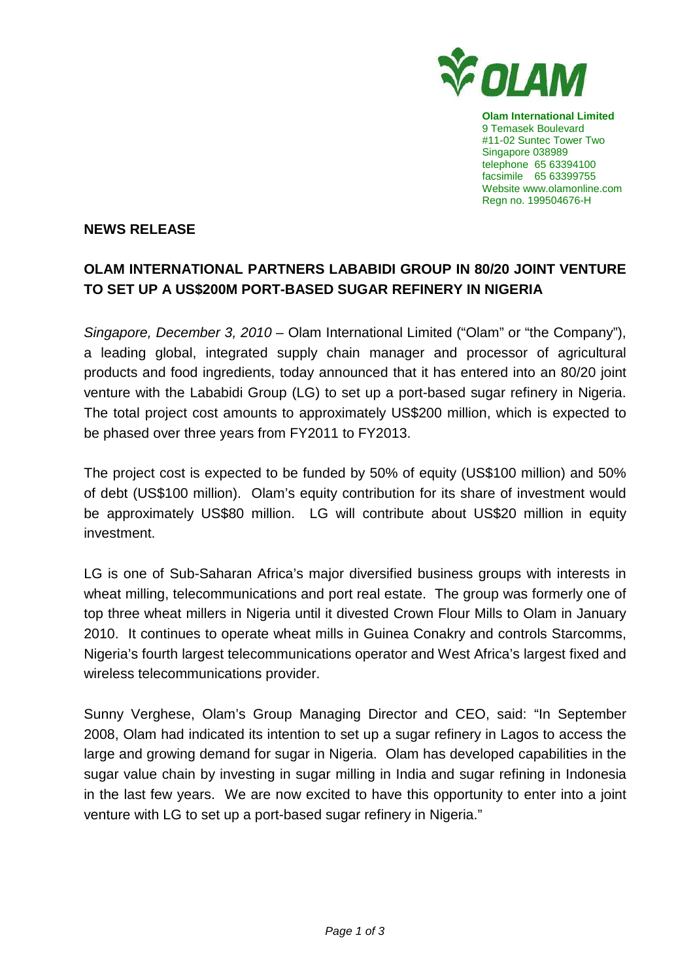

**Olam International Limited**  9 Temasek Boulevard #11-02 Suntec Tower Two Singapore 038989 telephone 65 63394100 facsimile 65 63399755 Website www.olamonline.com Regn no. 199504676-H

### **NEWS RELEASE**

# **OLAM INTERNATIONAL PARTNERS LABABIDI GROUP IN 80/20 JOINT VENTURE TO SET UP A US\$200M PORT-BASED SUGAR REFINERY IN NIGERIA**

Singapore, December 3, 2010 – Olam International Limited ("Olam" or "the Company"), a leading global, integrated supply chain manager and processor of agricultural products and food ingredients, today announced that it has entered into an 80/20 joint venture with the Lababidi Group (LG) to set up a port-based sugar refinery in Nigeria. The total project cost amounts to approximately US\$200 million, which is expected to be phased over three years from FY2011 to FY2013.

The project cost is expected to be funded by 50% of equity (US\$100 million) and 50% of debt (US\$100 million). Olam's equity contribution for its share of investment would be approximately US\$80 million. LG will contribute about US\$20 million in equity investment.

LG is one of Sub-Saharan Africa's major diversified business groups with interests in wheat milling, telecommunications and port real estate. The group was formerly one of top three wheat millers in Nigeria until it divested Crown Flour Mills to Olam in January 2010. It continues to operate wheat mills in Guinea Conakry and controls Starcomms, Nigeria's fourth largest telecommunications operator and West Africa's largest fixed and wireless telecommunications provider.

Sunny Verghese, Olam's Group Managing Director and CEO, said: "In September 2008, Olam had indicated its intention to set up a sugar refinery in Lagos to access the large and growing demand for sugar in Nigeria. Olam has developed capabilities in the sugar value chain by investing in sugar milling in India and sugar refining in Indonesia in the last few years. We are now excited to have this opportunity to enter into a joint venture with LG to set up a port-based sugar refinery in Nigeria."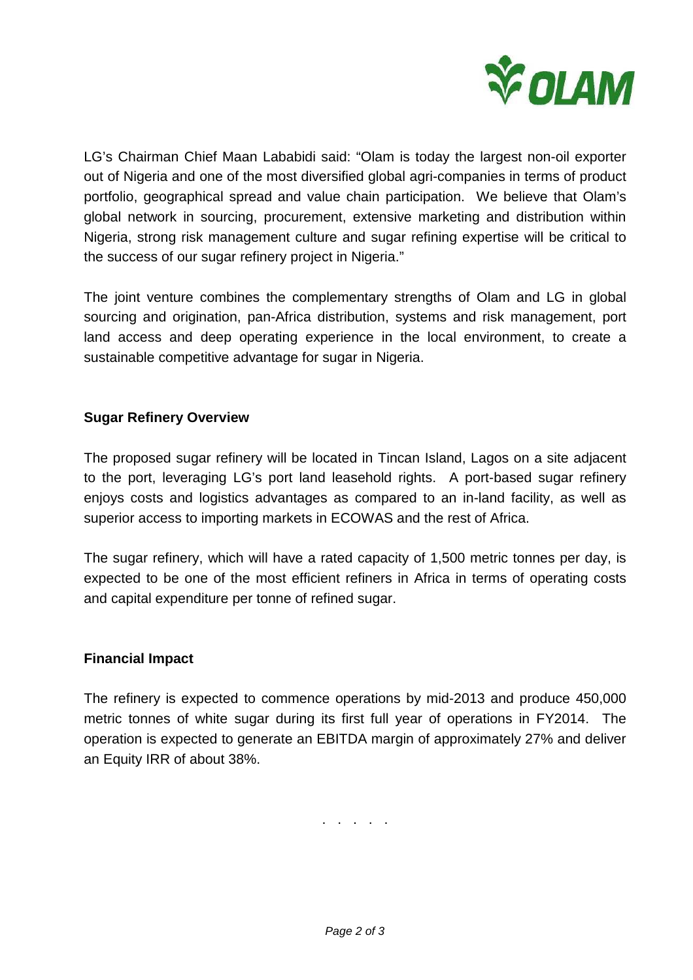

LG's Chairman Chief Maan Lababidi said: "Olam is today the largest non-oil exporter out of Nigeria and one of the most diversified global agri-companies in terms of product portfolio, geographical spread and value chain participation. We believe that Olam's global network in sourcing, procurement, extensive marketing and distribution within Nigeria, strong risk management culture and sugar refining expertise will be critical to the success of our sugar refinery project in Nigeria."

The joint venture combines the complementary strengths of Olam and LG in global sourcing and origination, pan-Africa distribution, systems and risk management, port land access and deep operating experience in the local environment, to create a sustainable competitive advantage for sugar in Nigeria.

## **Sugar Refinery Overview**

The proposed sugar refinery will be located in Tincan Island, Lagos on a site adjacent to the port, leveraging LG's port land leasehold rights. A port-based sugar refinery enjoys costs and logistics advantages as compared to an in-land facility, as well as superior access to importing markets in ECOWAS and the rest of Africa.

The sugar refinery, which will have a rated capacity of 1,500 metric tonnes per day, is expected to be one of the most efficient refiners in Africa in terms of operating costs and capital expenditure per tonne of refined sugar.

## **Financial Impact**

The refinery is expected to commence operations by mid-2013 and produce 450,000 metric tonnes of white sugar during its first full year of operations in FY2014. The operation is expected to generate an EBITDA margin of approximately 27% and deliver an Equity IRR of about 38%.

. . . . .